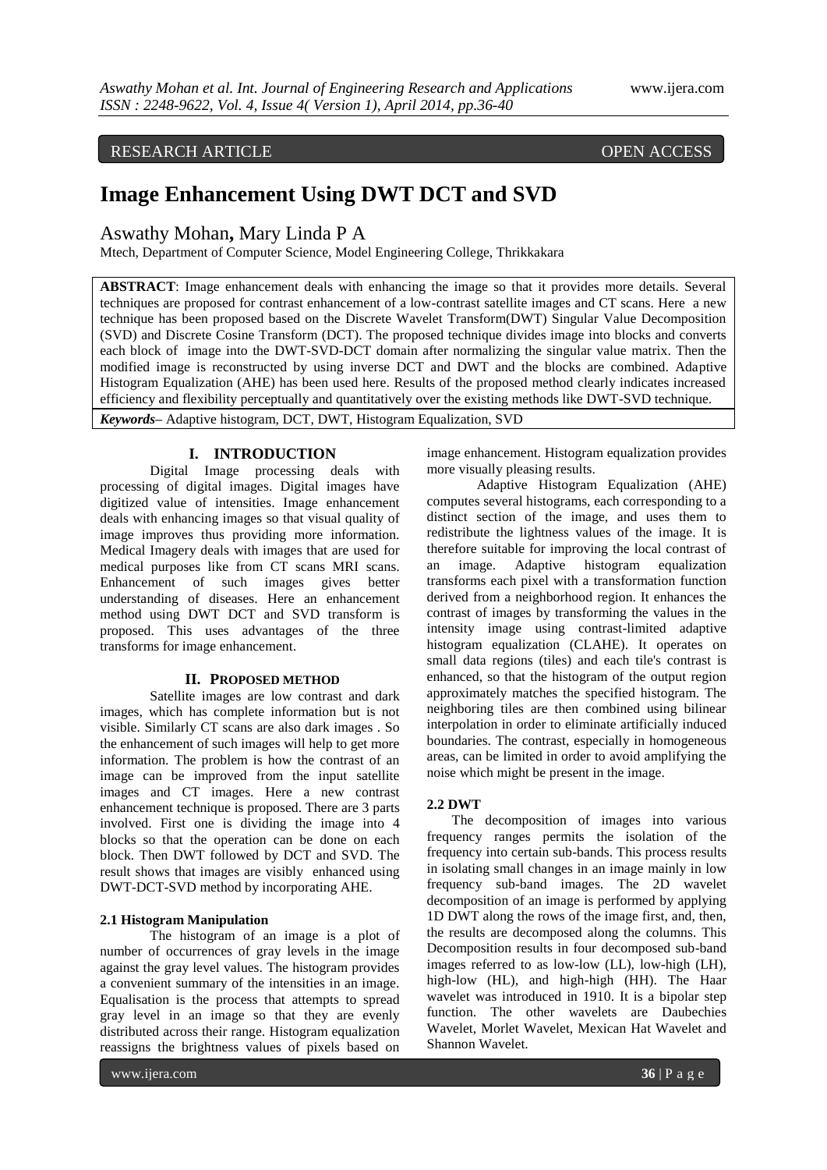# RESEARCH ARTICLE OPEN ACCESS

# **Image Enhancement Using DWT DCT and SVD**

Aswathy Mohan**,** Mary Linda P A

Mtech, Department of Computer Science, Model Engineering College, Thrikkakara

**ABSTRACT**: Image enhancement deals with enhancing the image so that it provides more details. Several techniques are proposed for contrast enhancement of a low-contrast satellite images and CT scans. Here a new technique has been proposed based on the Discrete Wavelet Transform(DWT) Singular Value Decomposition (SVD) and Discrete Cosine Transform (DCT). The proposed technique divides image into blocks and converts each block of image into the DWT-SVD-DCT domain after normalizing the singular value matrix. Then the modified image is reconstructed by using inverse DCT and DWT and the blocks are combined. Adaptive Histogram Equalization (AHE) has been used here. Results of the proposed method clearly indicates increased efficiency and flexibility perceptually and quantitatively over the existing methods like DWT-SVD technique.

*Keywords***–** Adaptive histogram, DCT, DWT, Histogram Equalization, SVD

# **I. INTRODUCTION**

Digital Image processing deals with processing of digital images. Digital images have digitized value of intensities. Image enhancement deals with enhancing images so that visual quality of image improves thus providing more information. Medical Imagery deals with images that are used for medical purposes like from CT scans MRI scans. Enhancement of such images gives better understanding of diseases. Here an enhancement method using DWT DCT and SVD transform is proposed. This uses advantages of the three transforms for image enhancement.

## **II. PROPOSED METHOD**

Satellite images are low contrast and dark images, which has complete information but is not visible. Similarly CT scans are also dark images . So the enhancement of such images will help to get more information. The problem is how the contrast of an image can be improved from the input satellite images and CT images. Here a new contrast enhancement technique is proposed. There are 3 parts involved. First one is dividing the image into 4 blocks so that the operation can be done on each block. Then DWT followed by DCT and SVD. The result shows that images are visibly enhanced using DWT-DCT-SVD method by incorporating AHE.

# **2.1 Histogram Manipulation**

The histogram of an image is a plot of number of occurrences of gray levels in the image against the gray level values. The histogram provides a convenient summary of the intensities in an image. Equalisation is the process that attempts to spread gray level in an image so that they are evenly distributed across their range. Histogram equalization reassigns the brightness values of pixels based on

image enhancement. Histogram equalization provides more visually pleasing results.

Adaptive Histogram Equalization (AHE) computes several histograms, each corresponding to a distinct section of the image, and uses them to redistribute the lightness values of the image. It is therefore suitable for improving the local contrast of an image. Adaptive histogram equalization transforms each pixel with a transformation function derived from a neighborhood region. It enhances the contrast of images by transforming the values in the intensity image using contrast-limited adaptive histogram equalization (CLAHE). It operates on small data regions (tiles) and each tile's contrast is enhanced, so that the histogram of the output region approximately matches the specified histogram. The neighboring tiles are then combined using bilinear interpolation in order to eliminate artificially induced boundaries. The contrast, especially in homogeneous areas, can be limited in order to avoid amplifying the noise which might be present in the image.

#### **2.2 DWT**

The decomposition of images into various frequency ranges permits the isolation of the frequency into certain sub-bands. This process results in isolating small changes in an image mainly in low frequency sub-band images. The 2D wavelet decomposition of an image is performed by applying 1D DWT along the rows of the image first, and, then, the results are decomposed along the columns. This Decomposition results in four decomposed sub-band images referred to as low-low (LL), low-high (LH), high-low (HL), and high-high (HH). The Haar wavelet was introduced in 1910. It is a bipolar step function. The other wavelets are Daubechies Wavelet, Morlet Wavelet, Mexican Hat Wavelet and Shannon Wavelet.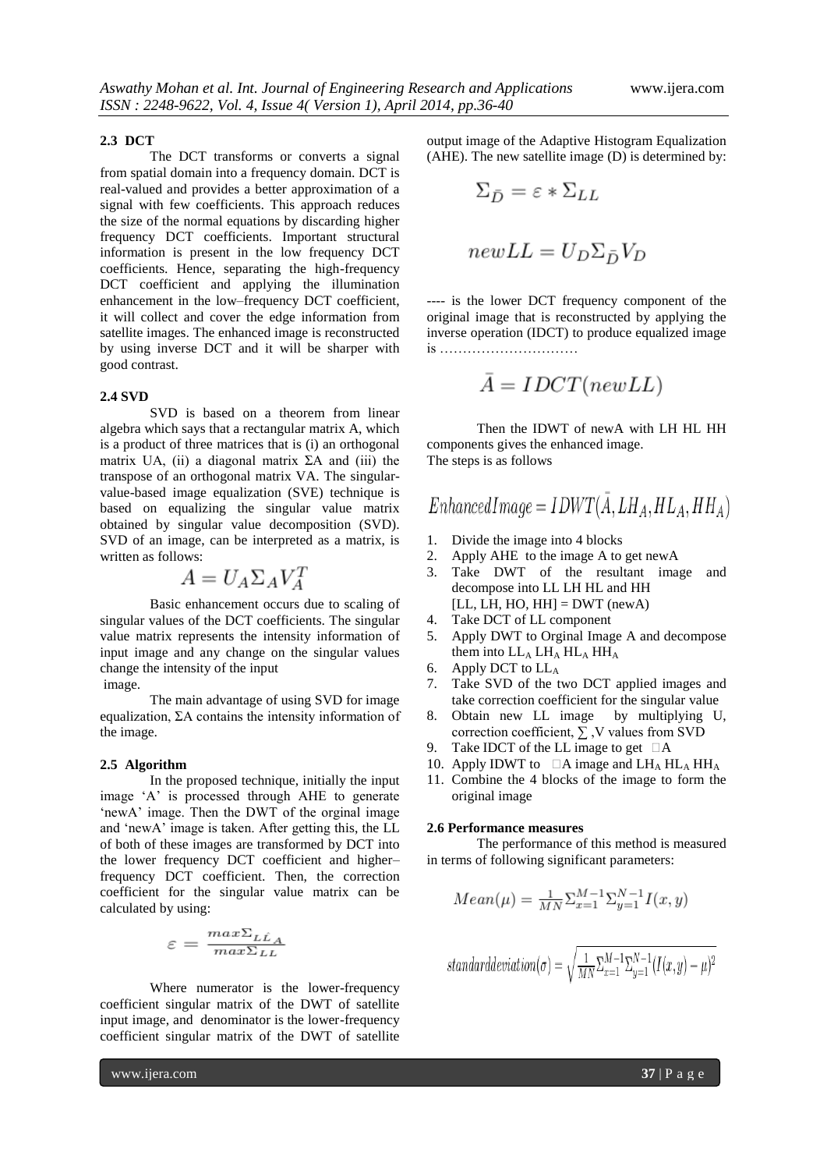#### **2.3 DCT**

The DCT transforms or converts a signal from spatial domain into a frequency domain. DCT is real-valued and provides a better approximation of a signal with few coefficients. This approach reduces the size of the normal equations by discarding higher frequency DCT coefficients. Important structural information is present in the low frequency DCT coefficients. Hence, separating the high-frequency DCT coefficient and applying the illumination enhancement in the low–frequency DCT coefficient, it will collect and cover the edge information from satellite images. The enhanced image is reconstructed by using inverse DCT and it will be sharper with good contrast.

#### **2.4 SVD**

SVD is based on a theorem from linear algebra which says that a rectangular matrix A, which is a product of three matrices that is (i) an orthogonal matrix UA, (ii) a diagonal matrix  $\Sigma A$  and (iii) the transpose of an orthogonal matrix VA. The singularvalue-based image equalization (SVE) technique is based on equalizing the singular value matrix obtained by singular value decomposition (SVD). SVD of an image, can be interpreted as a matrix, is written as follows:

$$
A = U_A \Sigma_A V_A^T
$$

Basic enhancement occurs due to scaling of singular values of the DCT coefficients. The singular value matrix represents the intensity information of input image and any change on the singular values change the intensity of the input

image.

The main advantage of using SVD for image equalization, ΣA contains the intensity information of the image.

#### **2.5 Algorithm**

In the proposed technique, initially the input image 'A' is processed through AHE to generate 'newA' image. Then the DWT of the orginal image and "newA" image is taken. After getting this, the LL of both of these images are transformed by DCT into the lower frequency DCT coefficient and higher– frequency DCT coefficient. Then, the correction coefficient for the singular value matrix can be calculated by using:

$$
\varepsilon = \frac{max\Sigma_{LL}}{max\Sigma_{LL}}
$$

Where numerator is the lower-frequency coefficient singular matrix of the DWT of satellite input image, and denominator is the lower-frequency coefficient singular matrix of the DWT of satellite output image of the Adaptive Histogram Equalization (AHE). The new satellite image (D) is determined by:

$$
\Sigma_{\bar{D}} = \varepsilon * \Sigma_{LL}
$$

$$
newLL = U_D \Sigma_{\bar{D}} V_D
$$

---- is the lower DCT frequency component of the original image that is reconstructed by applying the inverse operation (IDCT) to produce equalized image is …………………………

$$
\bar{A} = IDCT(new LL)
$$

Then the IDWT of newA with LH HL HH components gives the enhanced image. The steps is as follows

$$
EnhancedImage = IDWT(\bar{A}, LH_A, HL_A, HH_A)
$$

- 1. Divide the image into 4 blocks
- 2. Apply AHE to the image A to get newA
- 3. Take DWT of the resultant image and decompose into LL LH HL and HH  $[LL, LH, HO, HH] = DWT (newA)$
- 4. Take DCT of LL component
- 5. Apply DWT to Orginal Image A and decompose them into  $LL_A LH_A HL_A HH_A$
- 6. Apply DCT to LL<sup>A</sup>
- 7. Take SVD of the two DCT applied images and take correction coefficient for the singular value
- 8. Obtain new LL image by multiplying U, correction coefficient,  $\Sigma$ , V values from SVD
- 9. Take IDCT of the LL image to get  $\Box A$
- 10. Apply IDWT to  $\Box$  A image and LH<sub>A</sub> HL<sub>A</sub> HH<sub>A</sub>
- 11. Combine the 4 blocks of the image to form the original image

### **2.6 Performance measures**

The performance of this method is measured in terms of following significant parameters:

$$
Mean(\mu) = \frac{1}{MN} \sum_{x=1}^{M-1} \sum_{y=1}^{N-1} I(x, y)
$$

$$
standard deviation(\sigma) = \sqrt{\frac{1}{MN} \sum_{x=1}^{M-1} \sum_{y=1}^{N-1} (I(x, y) - \mu)^2}
$$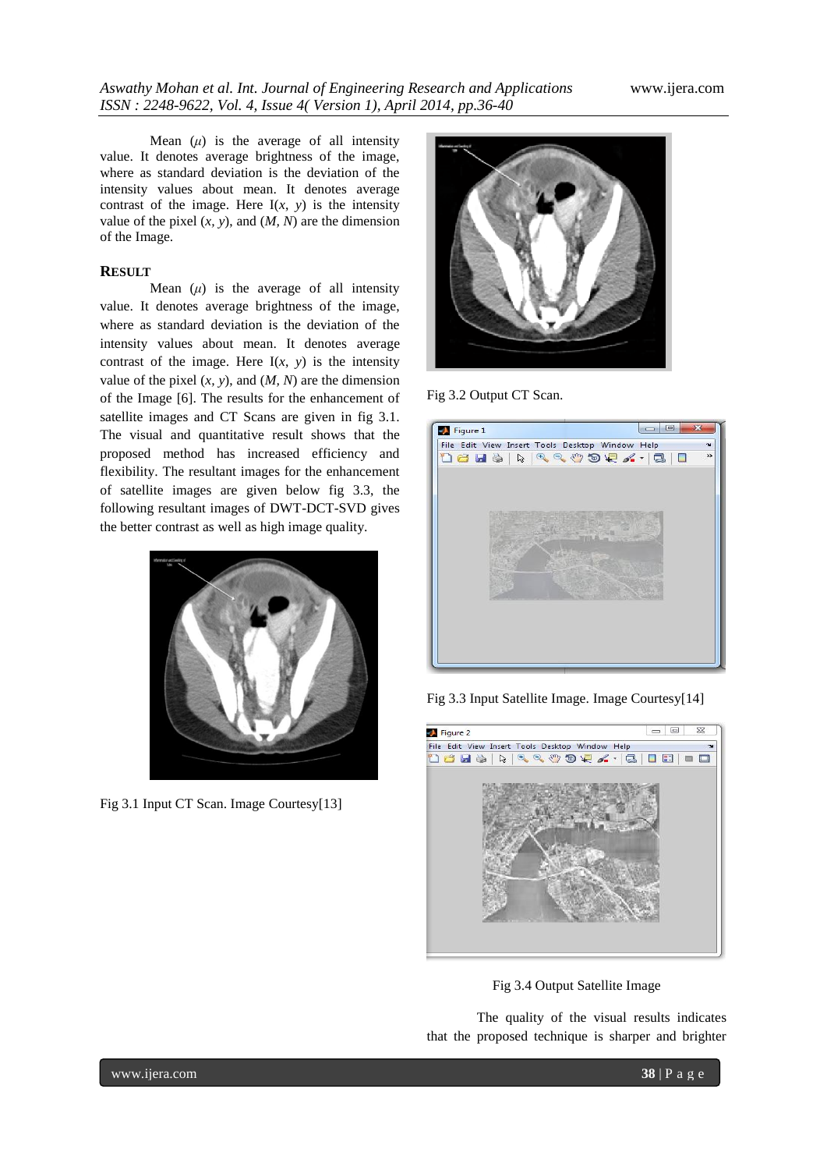Mean  $(\mu)$  is the average of all intensity value. It denotes average brightness of the image, where as standard deviation is the deviation of the intensity values about mean. It denotes average contrast of the image. Here  $I(x, y)$  is the intensity value of the pixel  $(x, y)$ , and  $(M, N)$  are the dimension of the Image.

# **RESULT**

Mean  $(\mu)$  is the average of all intensity value. It denotes average brightness of the image, where as standard deviation is the deviation of the intensity values about mean. It denotes average contrast of the image. Here  $I(x, y)$  is the intensity value of the pixel  $(x, y)$ , and  $(M, N)$  are the dimension of the Image [6]. The results for the enhancement of satellite images and CT Scans are given in fig 3.1. The visual and quantitative result shows that the proposed method has increased efficiency and flexibility. The resultant images for the enhancement of satellite images are given below fig 3.3, the following resultant images of DWT-DCT-SVD gives the better contrast as well as high image quality.



Fig 3.1 Input CT Scan. Image Courtesy[13]



Fig 3.2 Output CT Scan.

| Figure 1                                                  |  | $\begin{array}{c c c c c} \hline \multicolumn{3}{c }{\mathbf{E}} & \multicolumn{3}{c }{\mathbf{X}} \\\hline \multicolumn{3}{c }{\mathbf{E}} & \multicolumn{3}{c }{\mathbf{E}} & \multicolumn{3}{c }{\mathbf{X}} \\\hline \multicolumn{3}{c }{\mathbf{E}} & \multicolumn{3}{c }{\mathbf{E}} & \multicolumn{3}{c }{\mathbf{X}} \\\hline \multicolumn{3}{c }{\mathbf{E}} & \multicolumn{3}{c }{\mathbf{E}} & \multicolumn{3}{c }{\mathbf{X}} \\\hline \multic$ |  |
|-----------------------------------------------------------|--|-------------------------------------------------------------------------------------------------------------------------------------------------------------------------------------------------------------------------------------------------------------------------------------------------------------------------------------------------------------------------------------------------------------------------------------------------------------|--|
| File Edit View Insert Tools Desktop Window Help<br>$\sim$ |  |                                                                                                                                                                                                                                                                                                                                                                                                                                                             |  |
|                                                           |  | $\rightarrow$                                                                                                                                                                                                                                                                                                                                                                                                                                               |  |
|                                                           |  |                                                                                                                                                                                                                                                                                                                                                                                                                                                             |  |
|                                                           |  |                                                                                                                                                                                                                                                                                                                                                                                                                                                             |  |
|                                                           |  |                                                                                                                                                                                                                                                                                                                                                                                                                                                             |  |
|                                                           |  |                                                                                                                                                                                                                                                                                                                                                                                                                                                             |  |
|                                                           |  |                                                                                                                                                                                                                                                                                                                                                                                                                                                             |  |
|                                                           |  |                                                                                                                                                                                                                                                                                                                                                                                                                                                             |  |
|                                                           |  |                                                                                                                                                                                                                                                                                                                                                                                                                                                             |  |
|                                                           |  |                                                                                                                                                                                                                                                                                                                                                                                                                                                             |  |
|                                                           |  |                                                                                                                                                                                                                                                                                                                                                                                                                                                             |  |
|                                                           |  |                                                                                                                                                                                                                                                                                                                                                                                                                                                             |  |
|                                                           |  |                                                                                                                                                                                                                                                                                                                                                                                                                                                             |  |
|                                                           |  |                                                                                                                                                                                                                                                                                                                                                                                                                                                             |  |
|                                                           |  |                                                                                                                                                                                                                                                                                                                                                                                                                                                             |  |

Fig 3.3 Input Satellite Image. Image Courtesy[14]



Fig 3.4 Output Satellite Image

The quality of the visual results indicates that the proposed technique is sharper and brighter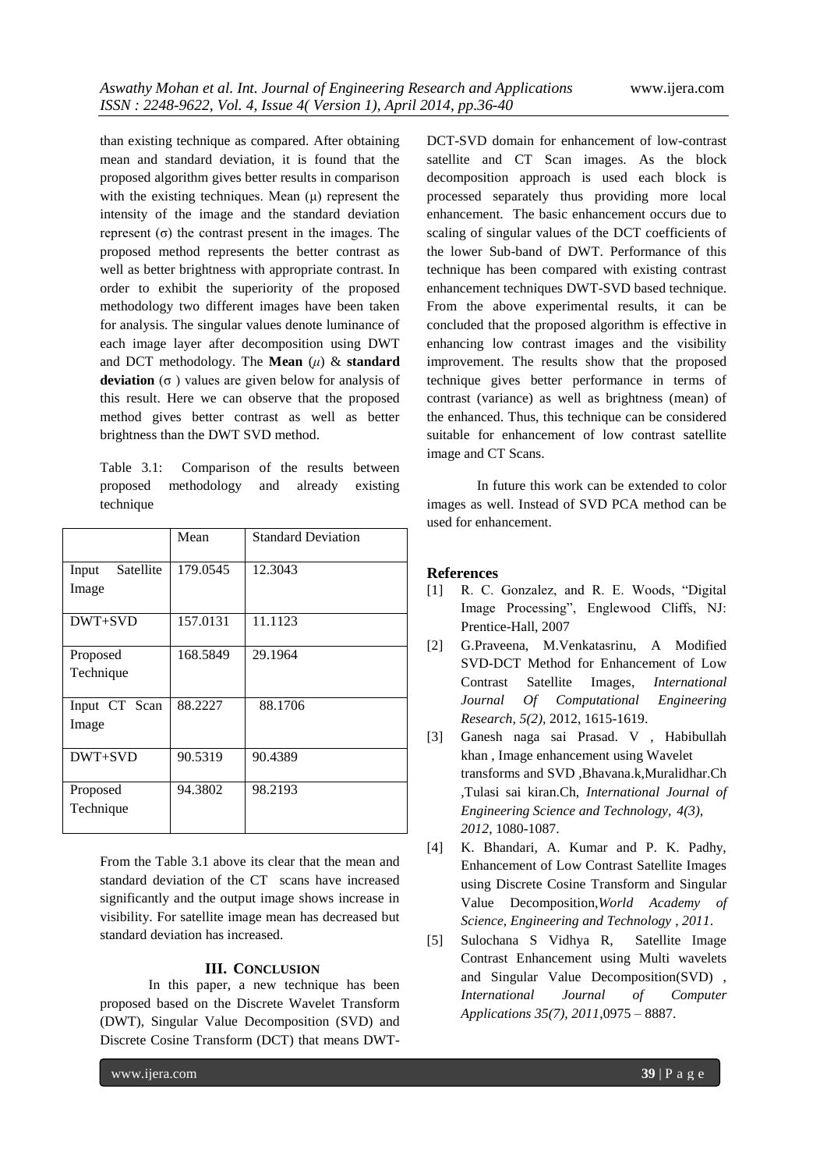than existing technique as compared. After obtaining mean and standard deviation, it is found that the proposed algorithm gives better results in comparison with the existing techniques. Mean (μ) represent the intensity of the image and the standard deviation represent (σ) the contrast present in the images. The proposed method represents the better contrast as well as better brightness with appropriate contrast. In order to exhibit the superiority of the proposed methodology two different images have been taken for analysis. The singular values denote luminance of each image layer after decomposition using DWT and DCT methodology. The **Mean** (*μ*) & **standard deviation**  $(σ)$  values are given below for analysis of this result. Here we can observe that the proposed method gives better contrast as well as better brightness than the DWT SVD method.

Table 3.1: Comparison of the results between proposed methodology and already existing technique

|                    | Mean     | <b>Standard Deviation</b> |
|--------------------|----------|---------------------------|
| Satellite<br>Input | 179.0545 | 12.3043                   |
| Image              |          |                           |
| DWT+SVD            | 157.0131 | 11.1123                   |
| Proposed           | 168.5849 | 29.1964                   |
| Technique          |          |                           |
| Input CT Scan      | 88.2227  | 88.1706                   |
| Image              |          |                           |
| DWT+SVD            | 90.5319  | 90.4389                   |
| Proposed           | 94.3802  | 98.2193                   |
| Technique          |          |                           |
|                    |          |                           |

From the Table 3.1 above its clear that the mean and standard deviation of the CT scans have increased significantly and the output image shows increase in visibility. For satellite image mean has decreased but standard deviation has increased.

## **III. CONCLUSION**

 In this paper, a new technique has been proposed based on the Discrete Wavelet Transform (DWT), Singular Value Decomposition (SVD) and Discrete Cosine Transform (DCT) that means DWT-

DCT-SVD domain for enhancement of low-contrast satellite and CT Scan images. As the block decomposition approach is used each block is processed separately thus providing more local enhancement. The basic enhancement occurs due to scaling of singular values of the DCT coefficients of the lower Sub-band of DWT. Performance of this technique has been compared with existing contrast enhancement techniques DWT-SVD based technique. From the above experimental results, it can be concluded that the proposed algorithm is effective in enhancing low contrast images and the visibility improvement. The results show that the proposed technique gives better performance in terms of contrast (variance) as well as brightness (mean) of the enhanced. Thus, this technique can be considered suitable for enhancement of low contrast satellite image and CT Scans.

In future this work can be extended to color images as well. Instead of SVD PCA method can be used for enhancement.

## **References**

- [1] R. C. Gonzalez, and R. E. Woods, "Digital Image Processing", Englewood Cliffs, NJ: Prentice-Hall, 2007
- [2] G.Praveena, M.Venkatasrinu, A Modified SVD-DCT Method for Enhancement of Low Contrast Satellite Images, *International Journal Of Computational Engineering Research, 5(2),* 2012, 1615-1619.
- [3] Ganesh naga sai Prasad. V , Habibullah khan , Image enhancement using Wavelet transforms and SVD ,Bhavana.k,Muralidhar.Ch ,Tulasi sai kiran.Ch, *International Journal of Engineering Science and Technology, 4(3), 2012*, 1080-1087.
- [4] K. Bhandari, A. Kumar and P. K. Padhy, Enhancement of Low Contrast Satellite Images using Discrete Cosine Transform and Singular Value Decomposition,*World Academy of Science, Engineering and Technology* , *2011*.
- [5] Sulochana S Vidhya R, Satellite Image Contrast Enhancement using Multi wavelets and Singular Value Decomposition(SVD) , *International Journal of Computer Applications 35(7), 2011*,0975 – 8887.